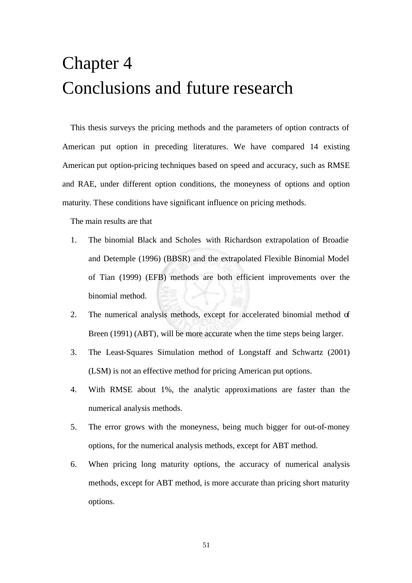## Chapter 4 Conclusions and future research

This thesis surveys the pricing methods and the parameters of option contracts of American put option in preceding literatures. We have compared 14 existing American put option-pricing techniques based on speed and accuracy, such as RMSE and RAE, under different option conditions, the moneyness of options and option maturity. These conditions have significant influence on pricing methods.

The main results are that

- 1. The binomial Black and Scholes with Richardson extrapolation of Broadie and Detemple (1996) (BBSR) and the extrapolated Flexible Binomial Model of Tian (1999) (EFB) methods are both efficient improvements over the binomial method.
- 2. The numerical analysis methods, except for accelerated binomial method of Breen (1991) (ABT), will be more accurate when the time steps being larger.
- 3. The Least-Squares Simulation method of Longstaff and Schwartz (2001) (LSM) is not an effective method for pricing American put options.
- 4. With RMSE about 1%, the analytic approximations are faster than the numerical analysis methods.
- 5. The error grows with the moneyness, being much bigger for out-of-money options, for the numerical analysis methods, except for ABT method.
- 6. When pricing long maturity options, the accuracy of numerical analysis methods, except for ABT method, is more accurate than pricing short maturity options.